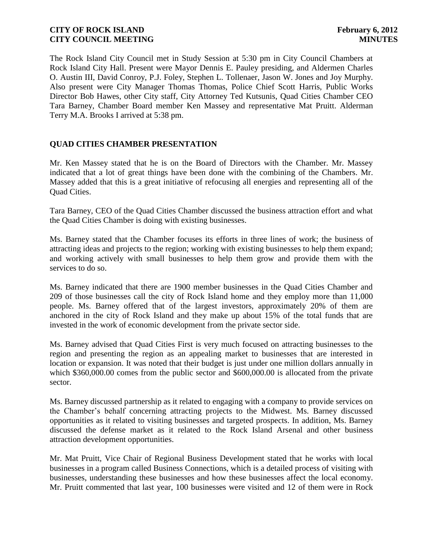The Rock Island City Council met in Study Session at 5:30 pm in City Council Chambers at Rock Island City Hall. Present were Mayor Dennis E. Pauley presiding, and Aldermen Charles O. Austin III, David Conroy, P.J. Foley, Stephen L. Tollenaer, Jason W. Jones and Joy Murphy. Also present were City Manager Thomas Thomas, Police Chief Scott Harris, Public Works Director Bob Hawes, other City staff, City Attorney Ted Kutsunis, Quad Cities Chamber CEO Tara Barney, Chamber Board member Ken Massey and representative Mat Pruitt. Alderman Terry M.A. Brooks I arrived at 5:38 pm.

# **QUAD CITIES CHAMBER PRESENTATION**

Mr. Ken Massey stated that he is on the Board of Directors with the Chamber. Mr. Massey indicated that a lot of great things have been done with the combining of the Chambers. Mr. Massey added that this is a great initiative of refocusing all energies and representing all of the Quad Cities.

Tara Barney, CEO of the Quad Cities Chamber discussed the business attraction effort and what the Quad Cities Chamber is doing with existing businesses.

Ms. Barney stated that the Chamber focuses its efforts in three lines of work; the business of attracting ideas and projects to the region; working with existing businesses to help them expand; and working actively with small businesses to help them grow and provide them with the services to do so.

Ms. Barney indicated that there are 1900 member businesses in the Quad Cities Chamber and 209 of those businesses call the city of Rock Island home and they employ more than 11,000 people. Ms. Barney offered that of the largest investors, approximately 20% of them are anchored in the city of Rock Island and they make up about 15% of the total funds that are invested in the work of economic development from the private sector side.

Ms. Barney advised that Quad Cities First is very much focused on attracting businesses to the region and presenting the region as an appealing market to businesses that are interested in location or expansion. It was noted that their budget is just under one million dollars annually in which \$360,000.00 comes from the public sector and \$600,000.00 is allocated from the private sector.

Ms. Barney discussed partnership as it related to engaging with a company to provide services on the Chamber's behalf concerning attracting projects to the Midwest. Ms. Barney discussed opportunities as it related to visiting businesses and targeted prospects. In addition, Ms. Barney discussed the defense market as it related to the Rock Island Arsenal and other business attraction development opportunities.

Mr. Mat Pruitt, Vice Chair of Regional Business Development stated that he works with local businesses in a program called Business Connections, which is a detailed process of visiting with businesses, understanding these businesses and how these businesses affect the local economy. Mr. Pruitt commented that last year, 100 businesses were visited and 12 of them were in Rock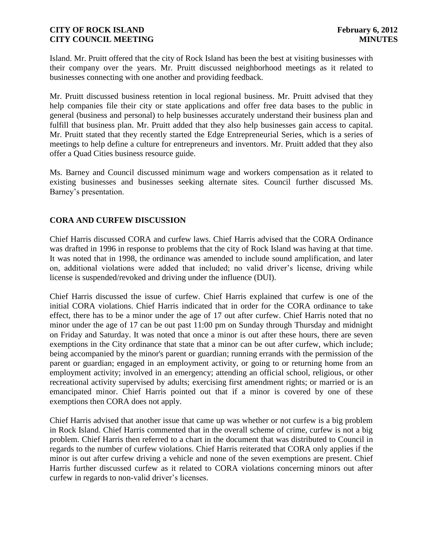Island. Mr. Pruitt offered that the city of Rock Island has been the best at visiting businesses with their company over the years. Mr. Pruitt discussed neighborhood meetings as it related to businesses connecting with one another and providing feedback.

Mr. Pruitt discussed business retention in local regional business. Mr. Pruitt advised that they help companies file their city or state applications and offer free data bases to the public in general (business and personal) to help businesses accurately understand their business plan and fulfill that business plan. Mr. Pruitt added that they also help businesses gain access to capital. Mr. Pruitt stated that they recently started the Edge Entrepreneurial Series, which is a series of meetings to help define a culture for entrepreneurs and inventors. Mr. Pruitt added that they also offer a Quad Cities business resource guide.

Ms. Barney and Council discussed minimum wage and workers compensation as it related to existing businesses and businesses seeking alternate sites. Council further discussed Ms. Barney's presentation.

# **CORA AND CURFEW DISCUSSION**

Chief Harris discussed CORA and curfew laws. Chief Harris advised that the CORA Ordinance was drafted in 1996 in response to problems that the city of Rock Island was having at that time. It was noted that in 1998, the ordinance was amended to include sound amplification, and later on, additional violations were added that included; no valid driver's license, driving while license is suspended/revoked and driving under the influence (DUI).

Chief Harris discussed the issue of curfew. Chief Harris explained that curfew is one of the initial CORA violations. Chief Harris indicated that in order for the CORA ordinance to take effect, there has to be a minor under the age of 17 out after curfew. Chief Harris noted that no minor under the age of 17 can be out past 11:00 pm on Sunday through Thursday and midnight on Friday and Saturday. It was noted that once a minor is out after these hours, there are seven exemptions in the City ordinance that state that a minor can be out after curfew, which include; being accompanied by the minor's parent or guardian; running errands with the permission of the parent or guardian; engaged in an employment activity, or going to or returning home from an employment activity; involved in an emergency; attending an official school, religious, or other recreational activity supervised by adults; exercising first amendment rights; or married or is an emancipated minor. Chief Harris pointed out that if a minor is covered by one of these exemptions then CORA does not apply.

Chief Harris advised that another issue that came up was whether or not curfew is a big problem in Rock Island. Chief Harris commented that in the overall scheme of crime, curfew is not a big problem. Chief Harris then referred to a chart in the document that was distributed to Council in regards to the number of curfew violations. Chief Harris reiterated that CORA only applies if the minor is out after curfew driving a vehicle and none of the seven exemptions are present. Chief Harris further discussed curfew as it related to CORA violations concerning minors out after curfew in regards to non-valid driver's licenses.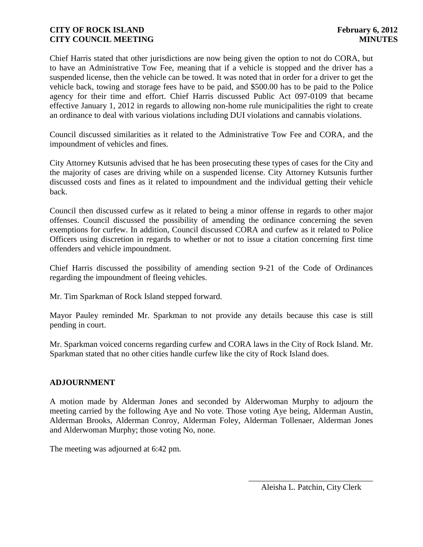Chief Harris stated that other jurisdictions are now being given the option to not do CORA, but to have an Administrative Tow Fee, meaning that if a vehicle is stopped and the driver has a suspended license, then the vehicle can be towed. It was noted that in order for a driver to get the vehicle back, towing and storage fees have to be paid, and \$500.00 has to be paid to the Police agency for their time and effort. Chief Harris discussed Public Act 097-0109 that became effective January 1, 2012 in regards to allowing non-home rule municipalities the right to create an ordinance to deal with various violations including DUI violations and cannabis violations.

Council discussed similarities as it related to the Administrative Tow Fee and CORA, and the impoundment of vehicles and fines.

City Attorney Kutsunis advised that he has been prosecuting these types of cases for the City and the majority of cases are driving while on a suspended license. City Attorney Kutsunis further discussed costs and fines as it related to impoundment and the individual getting their vehicle back.

Council then discussed curfew as it related to being a minor offense in regards to other major offenses. Council discussed the possibility of amending the ordinance concerning the seven exemptions for curfew. In addition, Council discussed CORA and curfew as it related to Police Officers using discretion in regards to whether or not to issue a citation concerning first time offenders and vehicle impoundment.

Chief Harris discussed the possibility of amending section 9-21 of the Code of Ordinances regarding the impoundment of fleeing vehicles.

Mr. Tim Sparkman of Rock Island stepped forward.

Mayor Pauley reminded Mr. Sparkman to not provide any details because this case is still pending in court.

Mr. Sparkman voiced concerns regarding curfew and CORA laws in the City of Rock Island. Mr. Sparkman stated that no other cities handle curfew like the city of Rock Island does.

# **ADJOURNMENT**

A motion made by Alderman Jones and seconded by Alderwoman Murphy to adjourn the meeting carried by the following Aye and No vote. Those voting Aye being, Alderman Austin, Alderman Brooks, Alderman Conroy, Alderman Foley, Alderman Tollenaer, Alderman Jones and Alderwoman Murphy; those voting No, none.

The meeting was adjourned at 6:42 pm.

\_\_\_\_\_\_\_\_\_\_\_\_\_\_\_\_\_\_\_\_\_\_\_\_\_\_\_\_\_\_ Aleisha L. Patchin, City Clerk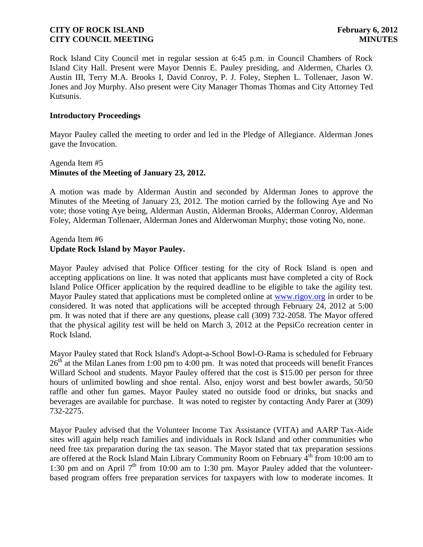Rock Island City Council met in regular session at 6:45 p.m. in Council Chambers of Rock Island City Hall. Present were Mayor Dennis E. Pauley presiding, and Aldermen, Charles O. Austin III, Terry M.A. Brooks I, David Conroy, P. J. Foley, Stephen L. Tollenaer, Jason W. Jones and Joy Murphy. Also present were City Manager Thomas Thomas and City Attorney Ted Kutsunis.

### **Introductory Proceedings**

Mayor Pauley called the meeting to order and led in the Pledge of Allegiance. Alderman Jones gave the Invocation.

# Agenda Item #5 **Minutes of the Meeting of January 23, 2012.**

A motion was made by Alderman Austin and seconded by Alderman Jones to approve the Minutes of the Meeting of January 23, 2012. The motion carried by the following Aye and No vote; those voting Aye being, Alderman Austin, Alderman Brooks, Alderman Conroy, Alderman Foley, Alderman Tollenaer, Alderman Jones and Alderwoman Murphy; those voting No, none.

# Agenda Item #6 **Update Rock Island by Mayor Pauley.**

Mayor Pauley advised that Police Officer testing for the city of Rock Island is open and accepting applications on line. It was noted that applicants must have completed a city of Rock Island Police Officer application by the required deadline to be eligible to take the agility test. Mayor Pauley stated that applications must be completed online at [www.rigov.org](http://www.rigov.org/) in order to be considered. It was noted that applications will be accepted through February 24, 2012 at 5:00 pm. It was noted that if there are any questions, please call (309) 732-2058. The Mayor offered that the physical agility test will be held on March 3, 2012 at the PepsiCo recreation center in Rock Island.

Mayor Pauley stated that Rock Island's Adopt-a-School Bowl-O-Rama is scheduled for February  $26<sup>th</sup>$  at the Milan Lanes from 1:00 pm to 4:00 pm. It was noted that proceeds will benefit Frances Willard School and students. Mayor Pauley offered that the cost is \$15.00 per person for three hours of unlimited bowling and shoe rental. Also, enjoy worst and best bowler awards, 50/50 raffle and other fun games. Mayor Pauley stated no outside food or drinks, but snacks and beverages are available for purchase. It was noted to register by contacting Andy Parer at (309) 732-2275.

Mayor Pauley advised that the Volunteer Income Tax Assistance (VITA) and AARP Tax-Aide sites will again help reach families and individuals in Rock Island and other communities who need free tax preparation during the tax season. The Mayor stated that tax preparation sessions are offered at the Rock Island Main Library Community Room on February  $4<sup>th</sup>$  from 10:00 am to 1:30 pm and on April  $7<sup>th</sup>$  from 10:00 am to 1:30 pm. Mayor Pauley added that the volunteerbased program offers free preparation services for taxpayers with low to moderate incomes. It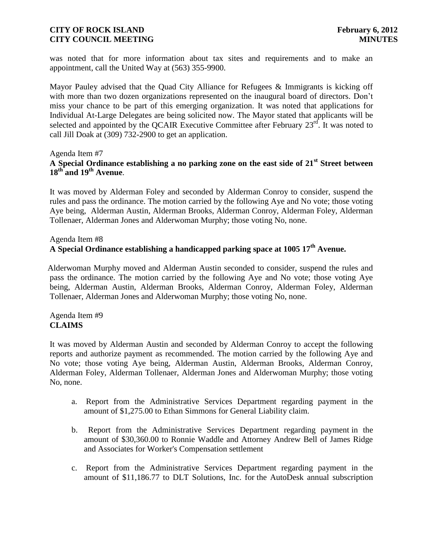was noted that for more information about tax sites and requirements and to make an appointment, call the United Way at (563) 355-9900.

Mayor Pauley advised that the Quad City Alliance for Refugees & Immigrants is kicking off with more than two dozen organizations represented on the inaugural board of directors. Don't miss your chance to be part of this emerging organization. It was noted that applications for Individual At-Large Delegates are being solicited now. The Mayor stated that applicants will be selected and appointed by the QCAIR Executive Committee after February 23<sup>rd</sup>. It was noted to call Jill Doak at (309) 732-2900 to get an application.

#### Agenda Item #7

# **A Special Ordinance establishing a no parking zone on the east side of 21st Street between 18th and 19th Avenue**.

It was moved by Alderman Foley and seconded by Alderman Conroy to consider, suspend the rules and pass the ordinance. The motion carried by the following Aye and No vote; those voting Aye being, Alderman Austin, Alderman Brooks, Alderman Conroy, Alderman Foley, Alderman Tollenaer, Alderman Jones and Alderwoman Murphy; those voting No, none.

### Agenda Item #8

# **A Special Ordinance establishing a handicapped parking space at 1005 17th Avenue.**

 Alderwoman Murphy moved and Alderman Austin seconded to consider, suspend the rules and pass the ordinance. The motion carried by the following Aye and No vote; those voting Aye being, Alderman Austin, Alderman Brooks, Alderman Conroy, Alderman Foley, Alderman Tollenaer, Alderman Jones and Alderwoman Murphy; those voting No, none.

### Agenda Item #9 **CLAIMS**

It was moved by Alderman Austin and seconded by Alderman Conroy to accept the following reports and authorize payment as recommended. The motion carried by the following Aye and No vote; those voting Aye being, Alderman Austin, Alderman Brooks, Alderman Conroy, Alderman Foley, Alderman Tollenaer, Alderman Jones and Alderwoman Murphy; those voting No, none.

- a. Report from the Administrative Services Department regarding payment in the amount of \$1,275.00 to Ethan Simmons for General Liability claim.
- b. Report from the Administrative Services Department regarding payment in the amount of \$30,360.00 to Ronnie Waddle and Attorney Andrew Bell of James Ridge and Associates for Worker's Compensation settlement
- c. Report from the Administrative Services Department regarding payment in the amount of \$11,186.77 to DLT Solutions, Inc. for the AutoDesk annual subscription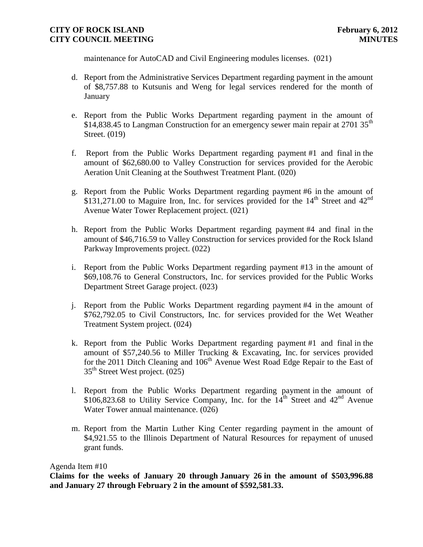maintenance for AutoCAD and Civil Engineering modules licenses. (021)

- d. Report from the Administrative Services Department regarding payment in the amount of \$8,757.88 to Kutsunis and Weng for legal services rendered for the month of January
- e. Report from the Public Works Department regarding payment in the amount of \$14,838.45 to Langman Construction for an emergency sewer main repair at 2701 35<sup>th</sup> Street. (019)
- f. Report from the Public Works Department regarding payment #1 and final in the amount of \$62,680.00 to Valley Construction for services provided for the Aerobic Aeration Unit Cleaning at the Southwest Treatment Plant. (020)
- g. Report from the Public Works Department regarding payment #6 in the amount of  $$131,271.00$  to Maguire Iron, Inc. for services provided for the  $14<sup>th</sup>$  Street and  $42<sup>nd</sup>$ Avenue Water Tower Replacement project. (021)
- h. Report from the Public Works Department regarding payment #4 and final in the amount of \$46,716.59 to Valley Construction for services provided for the Rock Island Parkway Improvements project. (022)
- i. Report from the Public Works Department regarding payment #13 in the amount of \$69,108.76 to General Constructors, Inc. for services provided for the Public Works Department Street Garage project. (023)
- j. Report from the Public Works Department regarding payment #4 in the amount of \$762,792.05 to Civil Constructors, Inc. for services provided for the Wet Weather Treatment System project. (024)
- k. Report from the Public Works Department regarding payment #1 and final in the amount of \$57,240.56 to Miller Trucking & Excavating, Inc. for services provided for the 2011 Ditch Cleaning and 106<sup>th</sup> Avenue West Road Edge Repair to the East of 35<sup>th</sup> Street West project. (025)
- l. Report from the Public Works Department regarding payment in the amount of \$106,823.68 to Utility Service Company, Inc. for the  $14<sup>th</sup>$  Street and  $42<sup>nd</sup>$  Avenue Water Tower annual maintenance. (026)
- m. Report from the Martin Luther King Center regarding payment in the amount of \$4,921.55 to the Illinois Department of Natural Resources for repayment of unused grant funds.

#### Agenda Item #10

 **Claims for the weeks of January 20 through January 26 in the amount of \$503,996.88 and January 27 through February 2 in the amount of \$592,581.33.**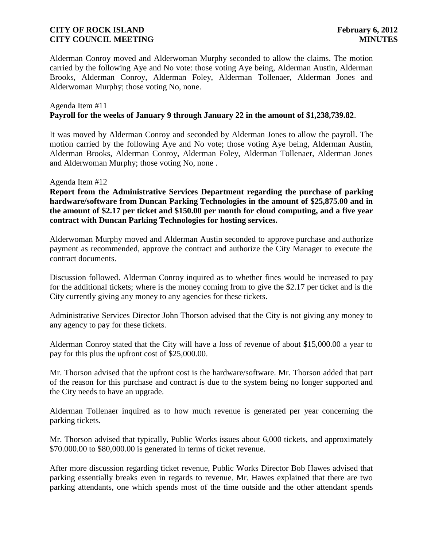Alderman Conroy moved and Alderwoman Murphy seconded to allow the claims. The motion carried by the following Aye and No vote: those voting Aye being, Alderman Austin, Alderman Brooks, Alderman Conroy, Alderman Foley, Alderman Tollenaer, Alderman Jones and Alderwoman Murphy; those voting No, none.

### Agenda Item #11 **Payroll for the weeks of January 9 through January 22 in the amount of \$1,238,739.82**.

It was moved by Alderman Conroy and seconded by Alderman Jones to allow the payroll. The motion carried by the following Aye and No vote; those voting Aye being, Alderman Austin, Alderman Brooks, Alderman Conroy, Alderman Foley, Alderman Tollenaer, Alderman Jones and Alderwoman Murphy; those voting No, none .

#### Agenda Item #12

**Report from the Administrative Services Department regarding the purchase of parking hardware/software from Duncan Parking Technologies in the amount of \$25,875.00 and in the amount of \$2.17 per ticket and \$150.00 per month for cloud computing, and a five year contract with Duncan Parking Technologies for hosting services.** 

Alderwoman Murphy moved and Alderman Austin seconded to approve purchase and authorize payment as recommended, approve the contract and authorize the City Manager to execute the contract documents.

Discussion followed. Alderman Conroy inquired as to whether fines would be increased to pay for the additional tickets; where is the money coming from to give the \$2.17 per ticket and is the City currently giving any money to any agencies for these tickets.

Administrative Services Director John Thorson advised that the City is not giving any money to any agency to pay for these tickets.

Alderman Conroy stated that the City will have a loss of revenue of about \$15,000.00 a year to pay for this plus the upfront cost of \$25,000.00.

Mr. Thorson advised that the upfront cost is the hardware/software. Mr. Thorson added that part of the reason for this purchase and contract is due to the system being no longer supported and the City needs to have an upgrade.

Alderman Tollenaer inquired as to how much revenue is generated per year concerning the parking tickets.

Mr. Thorson advised that typically, Public Works issues about 6,000 tickets, and approximately \$70.000.00 to \$80,000.00 is generated in terms of ticket revenue.

After more discussion regarding ticket revenue, Public Works Director Bob Hawes advised that parking essentially breaks even in regards to revenue. Mr. Hawes explained that there are two parking attendants, one which spends most of the time outside and the other attendant spends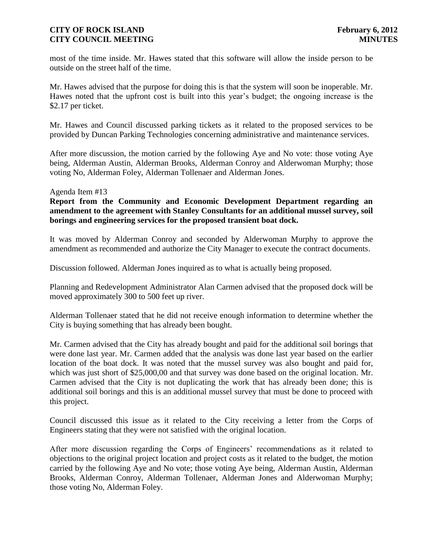most of the time inside. Mr. Hawes stated that this software will allow the inside person to be outside on the street half of the time.

Mr. Hawes advised that the purpose for doing this is that the system will soon be inoperable. Mr. Hawes noted that the upfront cost is built into this year's budget; the ongoing increase is the \$2.17 per ticket.

Mr. Hawes and Council discussed parking tickets as it related to the proposed services to be provided by Duncan Parking Technologies concerning administrative and maintenance services.

After more discussion, the motion carried by the following Aye and No vote: those voting Aye being, Alderman Austin, Alderman Brooks, Alderman Conroy and Alderwoman Murphy; those voting No, Alderman Foley, Alderman Tollenaer and Alderman Jones.

#### Agenda Item #13

**Report from the Community and Economic Development Department regarding an amendment to the agreement with Stanley Consultants for an additional mussel survey, soil borings and engineering services for the proposed transient boat dock.**

It was moved by Alderman Conroy and seconded by Alderwoman Murphy to approve the amendment as recommended and authorize the City Manager to execute the contract documents.

Discussion followed. Alderman Jones inquired as to what is actually being proposed.

Planning and Redevelopment Administrator Alan Carmen advised that the proposed dock will be moved approximately 300 to 500 feet up river.

Alderman Tollenaer stated that he did not receive enough information to determine whether the City is buying something that has already been bought.

Mr. Carmen advised that the City has already bought and paid for the additional soil borings that were done last year. Mr. Carmen added that the analysis was done last year based on the earlier location of the boat dock. It was noted that the mussel survey was also bought and paid for, which was just short of \$25,000,00 and that survey was done based on the original location. Mr. Carmen advised that the City is not duplicating the work that has already been done; this is additional soil borings and this is an additional mussel survey that must be done to proceed with this project.

Council discussed this issue as it related to the City receiving a letter from the Corps of Engineers stating that they were not satisfied with the original location.

After more discussion regarding the Corps of Engineers' recommendations as it related to objections to the original project location and project costs as it related to the budget, the motion carried by the following Aye and No vote; those voting Aye being, Alderman Austin, Alderman Brooks, Alderman Conroy, Alderman Tollenaer, Alderman Jones and Alderwoman Murphy; those voting No, Alderman Foley.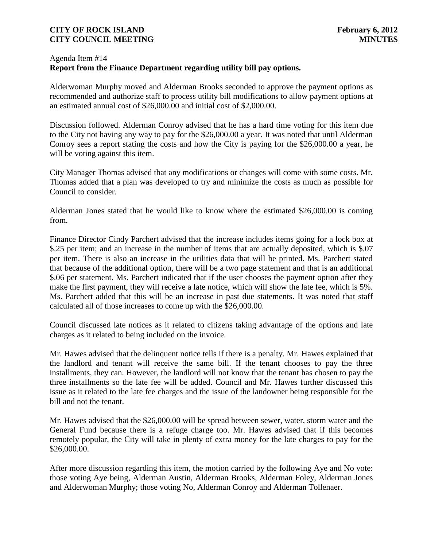# Agenda Item #14 **Report from the Finance Department regarding utility bill pay options.**

Alderwoman Murphy moved and Alderman Brooks seconded to approve the payment options as recommended and authorize staff to process utility bill modifications to allow payment options at an estimated annual cost of \$26,000.00 and initial cost of \$2,000.00.

Discussion followed. Alderman Conroy advised that he has a hard time voting for this item due to the City not having any way to pay for the \$26,000.00 a year. It was noted that until Alderman Conroy sees a report stating the costs and how the City is paying for the \$26,000.00 a year, he will be voting against this item.

City Manager Thomas advised that any modifications or changes will come with some costs. Mr. Thomas added that a plan was developed to try and minimize the costs as much as possible for Council to consider.

Alderman Jones stated that he would like to know where the estimated \$26,000.00 is coming from.

Finance Director Cindy Parchert advised that the increase includes items going for a lock box at \$.25 per item; and an increase in the number of items that are actually deposited, which is \$.07 per item. There is also an increase in the utilities data that will be printed. Ms. Parchert stated that because of the additional option, there will be a two page statement and that is an additional \$.06 per statement. Ms. Parchert indicated that if the user chooses the payment option after they make the first payment, they will receive a late notice, which will show the late fee, which is 5%. Ms. Parchert added that this will be an increase in past due statements. It was noted that staff calculated all of those increases to come up with the \$26,000.00.

Council discussed late notices as it related to citizens taking advantage of the options and late charges as it related to being included on the invoice.

Mr. Hawes advised that the delinquent notice tells if there is a penalty. Mr. Hawes explained that the landlord and tenant will receive the same bill. If the tenant chooses to pay the three installments, they can. However, the landlord will not know that the tenant has chosen to pay the three installments so the late fee will be added. Council and Mr. Hawes further discussed this issue as it related to the late fee charges and the issue of the landowner being responsible for the bill and not the tenant.

Mr. Hawes advised that the \$26,000.00 will be spread between sewer, water, storm water and the General Fund because there is a refuge charge too. Mr. Hawes advised that if this becomes remotely popular, the City will take in plenty of extra money for the late charges to pay for the \$26,000.00.

After more discussion regarding this item, the motion carried by the following Aye and No vote: those voting Aye being, Alderman Austin, Alderman Brooks, Alderman Foley, Alderman Jones and Alderwoman Murphy; those voting No, Alderman Conroy and Alderman Tollenaer.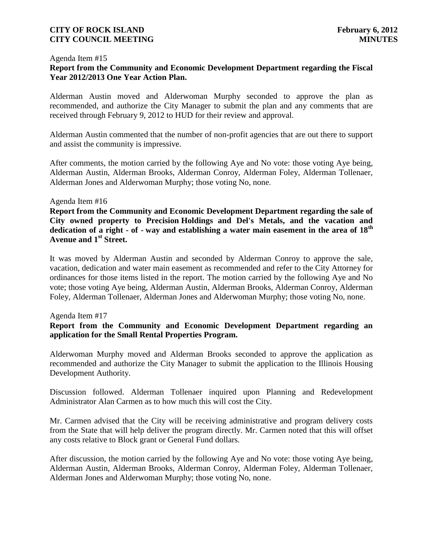#### Agenda Item #15

# **Report from the Community and Economic Development Department regarding the Fiscal Year 2012/2013 One Year Action Plan.**

Alderman Austin moved and Alderwoman Murphy seconded to approve the plan as recommended, and authorize the City Manager to submit the plan and any comments that are received through February 9, 2012 to HUD for their review and approval.

Alderman Austin commented that the number of non-profit agencies that are out there to support and assist the community is impressive.

After comments, the motion carried by the following Aye and No vote: those voting Aye being, Alderman Austin, Alderman Brooks, Alderman Conroy, Alderman Foley, Alderman Tollenaer, Alderman Jones and Alderwoman Murphy; those voting No, none.

#### Agenda Item #16

**Report from the Community and Economic Development Department regarding the sale of City owned property to Precision Holdings and Del's Metals, and the vacation and dedication of a right - of - way and establishing a water main easement in the area of 18th Avenue and 1st Street.**

It was moved by Alderman Austin and seconded by Alderman Conroy to approve the sale, vacation, dedication and water main easement as recommended and refer to the City Attorney for ordinances for those items listed in the report. The motion carried by the following Aye and No vote; those voting Aye being, Alderman Austin, Alderman Brooks, Alderman Conroy, Alderman Foley, Alderman Tollenaer, Alderman Jones and Alderwoman Murphy; those voting No, none.

#### Agenda Item #17

# **Report from the Community and Economic Development Department regarding an application for the Small Rental Properties Program.**

Alderwoman Murphy moved and Alderman Brooks seconded to approve the application as recommended and authorize the City Manager to submit the application to the Illinois Housing Development Authority.

Discussion followed. Alderman Tollenaer inquired upon Planning and Redevelopment Administrator Alan Carmen as to how much this will cost the City.

Mr. Carmen advised that the City will be receiving administrative and program delivery costs from the State that will help deliver the program directly. Mr. Carmen noted that this will offset any costs relative to Block grant or General Fund dollars.

After discussion, the motion carried by the following Aye and No vote: those voting Aye being, Alderman Austin, Alderman Brooks, Alderman Conroy, Alderman Foley, Alderman Tollenaer, Alderman Jones and Alderwoman Murphy; those voting No, none.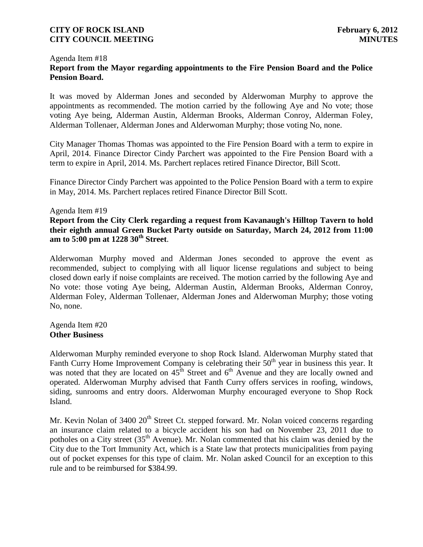#### Agenda Item #18 **Report from the Mayor regarding appointments to the Fire Pension Board and the Police Pension Board.**

It was moved by Alderman Jones and seconded by Alderwoman Murphy to approve the appointments as recommended. The motion carried by the following Aye and No vote; those voting Aye being, Alderman Austin, Alderman Brooks, Alderman Conroy, Alderman Foley, Alderman Tollenaer, Alderman Jones and Alderwoman Murphy; those voting No, none.

City Manager Thomas Thomas was appointed to the Fire Pension Board with a term to expire in April, 2014. Finance Director Cindy Parchert was appointed to the Fire Pension Board with a term to expire in April, 2014. Ms. Parchert replaces retired Finance Director, Bill Scott.

Finance Director Cindy Parchert was appointed to the Police Pension Board with a term to expire in May, 2014. Ms. Parchert replaces retired Finance Director Bill Scott.

#### Agenda Item #19

**Report from the City Clerk regarding a request from Kavanaugh's Hilltop Tavern to hold their eighth annual Green Bucket Party outside on Saturday, March 24, 2012 from 11:00 am to 5:00 pm at 1228 30th Street**.

Alderwoman Murphy moved and Alderman Jones seconded to approve the event as recommended, subject to complying with all liquor license regulations and subject to being closed down early if noise complaints are received. The motion carried by the following Aye and No vote: those voting Aye being, Alderman Austin, Alderman Brooks, Alderman Conroy, Alderman Foley, Alderman Tollenaer, Alderman Jones and Alderwoman Murphy; those voting No, none.

### Agenda Item #20 **Other Business**

Alderwoman Murphy reminded everyone to shop Rock Island. Alderwoman Murphy stated that Fanth Curry Home Improvement Company is celebrating their  $50<sup>th</sup>$  year in business this year. It was noted that they are located on  $45<sup>th</sup>$  Street and  $6<sup>th</sup>$  Avenue and they are locally owned and operated. Alderwoman Murphy advised that Fanth Curry offers services in roofing, windows, siding, sunrooms and entry doors. Alderwoman Murphy encouraged everyone to Shop Rock Island.

Mr. Kevin Nolan of  $3400 \times 20^{th}$  Street Ct. stepped forward. Mr. Nolan voiced concerns regarding an insurance claim related to a bicycle accident his son had on November 23, 2011 due to potholes on a City street (35<sup>th</sup> Avenue). Mr. Nolan commented that his claim was denied by the City due to the Tort Immunity Act, which is a State law that protects municipalities from paying out of pocket expenses for this type of claim. Mr. Nolan asked Council for an exception to this rule and to be reimbursed for \$384.99.